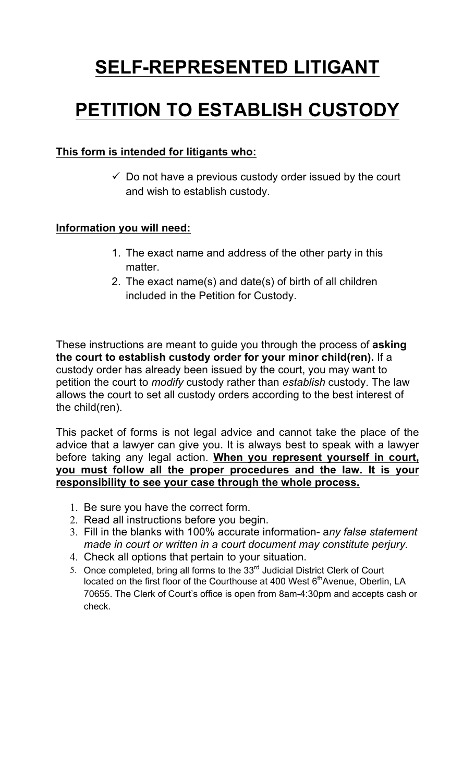# **SELF-REPRESENTED LITIGANT**

# **PETITION TO ESTABLISH CUSTODY**

## **This form is intended for litigants who:**

 $\checkmark$  Do not have a previous custody order issued by the court and wish to establish custody.

## **Information you will need:**

- 1. The exact name and address of the other party in this matter.
- 2. The exact name(s) and date(s) of birth of all children included in the Petition for Custody.

These instructions are meant to guide you through the process of **asking the court to establish custody order for your minor child(ren).** If a custody order has already been issued by the court, you may want to petition the court to *modify* custody rather than *establish* custody. The law allows the court to set all custody orders according to the best interest of the child(ren).

This packet of forms is not legal advice and cannot take the place of the advice that a lawyer can give you. It is always best to speak with a lawyer before taking any legal action. **When you represent yourself in court, you must follow all the proper procedures and the law. It is your responsibility to see your case through the whole process.** 

- 1. Be sure you have the correct form.
- 2. Read all instructions before you begin.
- 3. Fill in the blanks with 100% accurate information- a*ny false statement made in court or written in a court document may constitute perjury.*
- 4. Check all options that pertain to your situation.
- 5. Once completed, bring all forms to the  $33<sup>rd</sup>$  Judicial District Clerk of Court located on the first floor of the Courthouse at 400 West  $6<sup>th</sup>$ Avenue, Oberlin, LA 70655. The Clerk of Court's office is open from 8am-4:30pm and accepts cash or check.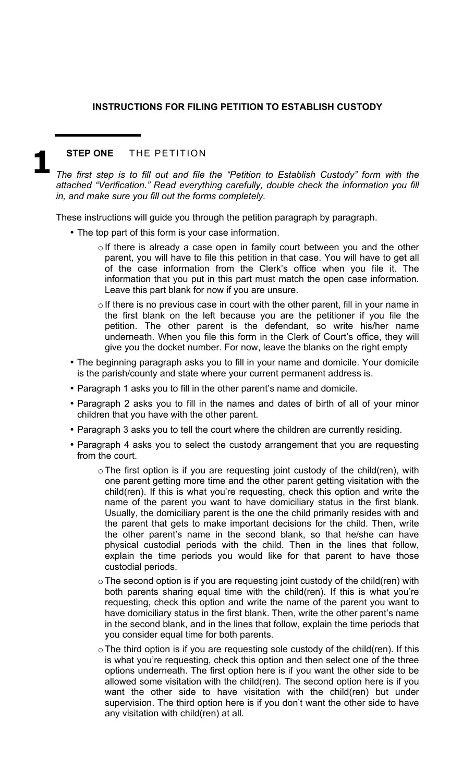### **INSTRUCTIONS FOR FILING PETITION TO ESTABLISH CUSTODY**

### **STEP ONE** THE PETITION

*The first step is to fill out and file the "Petition to Establish Custody" form with the attached "Verification." Read everything carefully, double check the information you fill in, and make sure you fill out the forms completely.*  **1** 

These instructions will guide you through the petition paragraph by paragraph.

- The top part of this form is your case information.
	- o If there is already a case open in family court between you and the other parent, you will have to file this petition in that case. You will have to get all of the case information from the Clerk's office when you file it. The information that you put in this part must match the open case information. Leave this part blank for now if you are unsure.
	- $\circ$  If there is no previous case in court with the other parent, fill in your name in the first blank on the left because you are the petitioner if you file the petition. The other parent is the defendant, so write his/her name underneath. When you file this form in the Clerk of Court's office, they will give you the docket number. For now, leave the blanks on the right empty
- The beginning paragraph asks you to fill in your name and domicile. Your domicile is the parish/county and state where your current permanent address is.
- Paragraph 1 asks you to fill in the other parent's name and domicile.
- Paragraph 2 asks you to fill in the names and dates of birth of all of your minor children that you have with the other parent.
- Paragraph 3 asks you to tell the court where the children are currently residing.
- Paragraph 4 asks you to select the custody arrangement that you are requesting from the court.
	- $\circ$  The first option is if you are requesting joint custody of the child(ren), with one parent getting more time and the other parent getting visitation with the child(ren). If this is what you're requesting, check this option and write the name of the parent you want to have domiciliary status in the first blank. Usually, the domiciliary parent is the one the child primarily resides with and the parent that gets to make important decisions for the child. Then, write the other parent's name in the second blank, so that he/she can have physical custodial periods with the child. Then in the lines that follow, explain the time periods you would like for that parent to have those custodial periods.
	- $\circ$  The second option is if you are requesting joint custody of the child(ren) with both parents sharing equal time with the child(ren). If this is what you're requesting, check this option and write the name of the parent you want to have domiciliary status in the first blank. Then, write the other parent's name in the second blank, and in the lines that follow, explain the time periods that you consider equal time for both parents.
	- $\circ$  The third option is if you are requesting sole custody of the child(ren). If this is what you're requesting, check this option and then select one of the three options underneath. The first option here is if you want the other side to be allowed some visitation with the child(ren). The second option here is if you want the other side to have visitation with the child(ren) but under supervision. The third option here is if you don't want the other side to have any visitation with child(ren) at all.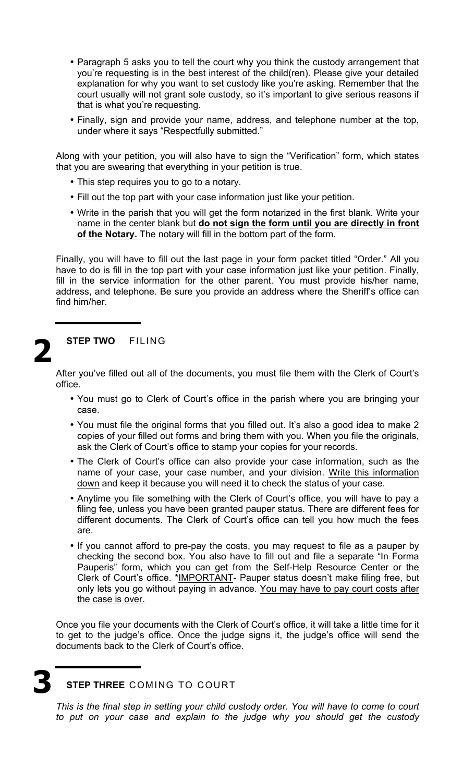- Paragraph 5 asks you to tell the court why you think the custody arrangement that you're requesting is in the best interest of the child(ren). Please give your detailed explanation for why you want to set custody like you're asking. Remember that the court usually will not grant sole custody, so it's important to give serious reasons if that is what you're requesting.
- Finally, sign and provide your name, address, and telephone number at the top, under where it says "Respectfully submitted."

Along with your petition, you will also have to sign the "Verification" form, which states that you are swearing that everything in your petition is true.

- This step requires you to go to a notary.
- Fill out the top part with your case information just like your petition.
- Write in the parish that you will get the form notarized in the first blank. Write your name in the center blank but **do not sign the form until you are directly in front of the Notary.** The notary will fill in the bottom part of the form.

Finally, you will have to fill out the last page in your form packet titled "Order." All you have to do is fill in the top part with your case information just like your petition. Finally, fill in the service information for the other parent. You must provide his/her name, address, and telephone. Be sure you provide an address where the Sheriff's office can find him/her.

# **2**

### **STEP TWO** FILING

After you've filled out all of the documents, you must file them with the Clerk of Court's office.

- You must go to Clerk of Court's office in the parish where you are bringing your case.
- You must file the original forms that you filled out. It's also a good idea to make 2 copies of your filled out forms and bring them with you. When you file the originals, ask the Clerk of Court's office to stamp your copies for your records.
- The Clerk of Court's office can also provide your case information, such as the name of your case, your case number, and your division. Write this information down and keep it because you will need it to check the status of your case.
- Anytime you file something with the Clerk of Court's office, you will have to pay a filing fee, unless you have been granted pauper status. There are different fees for different documents. The Clerk of Court's office can tell you how much the fees are.
- If you cannot afford to pre-pay the costs, you may request to file as a pauper by checking the second box. You also have to fill out and file a separate "In Forma Pauperis" form, which you can get from the Self-Help Resource Center or the Clerk of Court's office. \*IMPORTANT- Pauper status doesn't make filing free, but only lets you go without paying in advance. You may have to pay court costs after the case is over.

Once you file your documents with the Clerk of Court's office, it will take a little time for it to get to the judge's office. Once the judge signs it, the judge's office will send the documents back to the Clerk of Court's office.

**STEP THREE** COMING TO COURT **3** 

> *This is the final step in setting your child custody order. You will have to come to court to put on your case and explain to the judge why you should get the custody*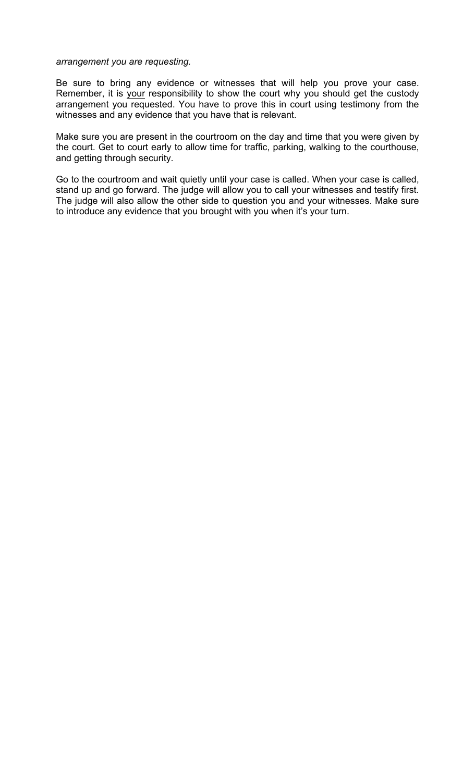### *arrangement you are requesting.*

Be sure to bring any evidence or witnesses that will help you prove your case. Remember, it is your responsibility to show the court why you should get the custody arrangement you requested. You have to prove this in court using testimony from the witnesses and any evidence that you have that is relevant.

Make sure you are present in the courtroom on the day and time that you were given by the court. Get to court early to allow time for traffic, parking, walking to the courthouse, and getting through security.

Go to the courtroom and wait quietly until your case is called. When your case is called, stand up and go forward. The judge will allow you to call your witnesses and testify first. The judge will also allow the other side to question you and your witnesses. Make sure to introduce any evidence that you brought with you when it's your turn.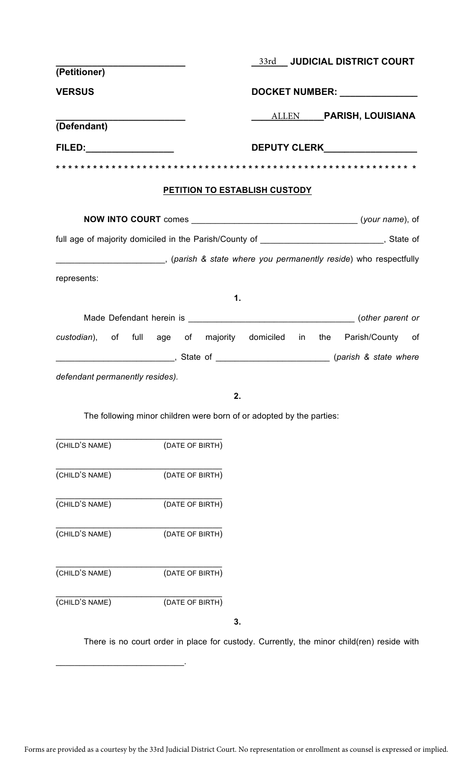|                                 |                                                                      |               |                               | 33rd JUDICIAL DISTRICT COURT                                                                |
|---------------------------------|----------------------------------------------------------------------|---------------|-------------------------------|---------------------------------------------------------------------------------------------|
| (Petitioner)                    |                                                                      |               |                               |                                                                                             |
| <b>VERSUS</b>                   |                                                                      |               |                               | DOCKET NUMBER: NAMEL AND DOCKET NUMBER:                                                     |
| (Defendant)                     |                                                                      |               |                               | ALLEN PARISH, LOUISIANA                                                                     |
| FILED:__________________        |                                                                      |               |                               | <b>DEPUTY CLERK DEPUTY</b>                                                                  |
|                                 | * * * * * * * * * * * * * * * * * * *                                |               |                               |                                                                                             |
|                                 |                                                                      |               |                               |                                                                                             |
|                                 |                                                                      |               | PETITION TO ESTABLISH CUSTODY |                                                                                             |
|                                 |                                                                      |               |                               |                                                                                             |
|                                 |                                                                      |               |                               | full age of majority domiciled in the Parish/County of __________________________, State of |
|                                 |                                                                      |               |                               | (parish & state where you permanently reside) who respectfully                              |
| represents:                     |                                                                      |               |                               |                                                                                             |
|                                 |                                                                      | $\mathbf 1$ . |                               |                                                                                             |
|                                 |                                                                      |               |                               |                                                                                             |
|                                 |                                                                      |               |                               | custodian), of full age of majority domiciled in the Parish/County of                       |
|                                 |                                                                      |               |                               |                                                                                             |
| defendant permanently resides). |                                                                      |               |                               |                                                                                             |
|                                 |                                                                      | 2.            |                               |                                                                                             |
|                                 | The following minor children were born of or adopted by the parties: |               |                               |                                                                                             |
| (CHILD'S NAME)                  | (DATE OF BIRTH)                                                      |               |                               |                                                                                             |
| (CHILD'S NAME)                  | (DATE OF BIRTH)                                                      |               |                               |                                                                                             |
| (CHILD'S NAME)                  | (DATE OF BIRTH)                                                      |               |                               |                                                                                             |
| (CHILD'S NAME)                  | (DATE OF BIRTH)                                                      |               |                               |                                                                                             |
| (CHILD'S NAME)                  | (DATE OF BIRTH)                                                      |               |                               |                                                                                             |
| (CHILD'S NAME)                  | (DATE OF BIRTH)                                                      |               |                               |                                                                                             |

**3.**

 $\mathcal{L}_\mathcal{L}$  , which is a set of the set of the set of the set of the set of the set of the set of the set of the set of the set of the set of the set of the set of the set of the set of the set of the set of the set of

There is no court order in place for custody. Currently, the minor child(ren) reside with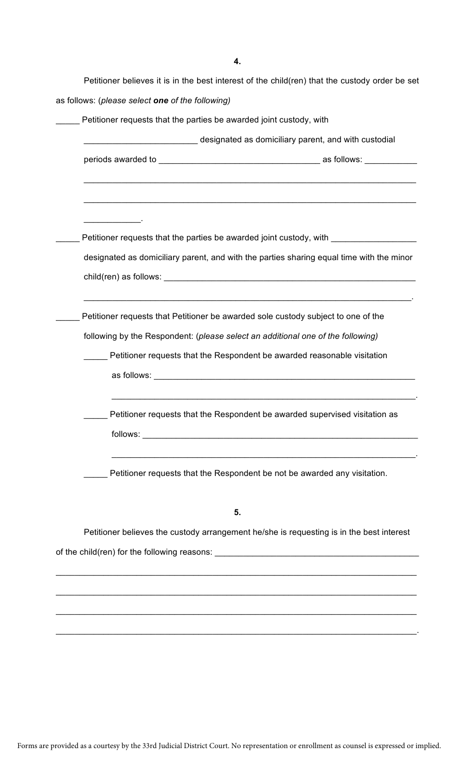| Petitioner requests that the parties be awarded joint custody, with                      |
|------------------------------------------------------------------------------------------|
|                                                                                          |
| designated as domiciliary parent, and with custodial                                     |
|                                                                                          |
|                                                                                          |
| <u> 1980 - Johann Stein, markazi bashka</u>                                              |
| Petitioner requests that the parties be awarded joint custody, with _____________        |
| designated as domiciliary parent, and with the parties sharing equal time with the minor |
|                                                                                          |
|                                                                                          |
|                                                                                          |
| Petitioner requests that Petitioner be awarded sole custody subject to one of the        |
| following by the Respondent: (please select an additional one of the following)          |
| Petitioner requests that the Respondent be awarded reasonable visitation                 |
|                                                                                          |
| Petitioner requests that the Respondent be awarded supervised visitation as              |
|                                                                                          |
|                                                                                          |
|                                                                                          |
| Petitioner requests that the Respondent be not be awarded any visitation.                |
| 5.                                                                                       |
| Petitioner believes the custody arrangement he/she is requesting is in the best interest |

\_\_\_\_\_\_\_\_\_\_\_\_\_\_\_\_\_\_\_\_\_\_\_\_\_\_\_\_\_\_\_\_\_\_\_\_\_\_\_\_\_\_\_\_\_\_\_\_\_\_\_\_\_\_\_\_\_\_\_\_\_\_\_\_\_\_\_\_\_\_\_\_\_\_\_\_

\_\_\_\_\_\_\_\_\_\_\_\_\_\_\_\_\_\_\_\_\_\_\_\_\_\_\_\_\_\_\_\_\_\_\_\_\_\_\_\_\_\_\_\_\_\_\_\_\_\_\_\_\_\_\_\_\_\_\_\_\_\_\_\_\_\_\_\_\_\_\_\_\_\_\_\_

\_\_\_\_\_\_\_\_\_\_\_\_\_\_\_\_\_\_\_\_\_\_\_\_\_\_\_\_\_\_\_\_\_\_\_\_\_\_\_\_\_\_\_\_\_\_\_\_\_\_\_\_\_\_\_\_\_\_\_\_\_\_\_\_\_\_\_\_\_\_\_\_\_\_\_\_.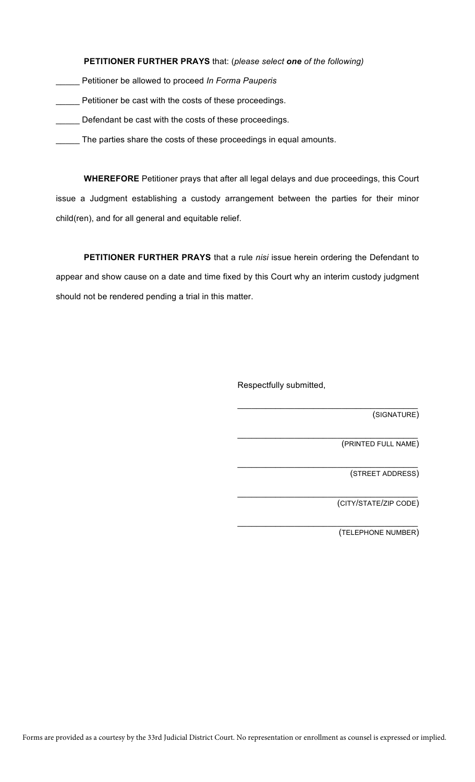### **PETITIONER FURTHER PRAYS** that: (*please select one of the following)*

- \_\_\_\_\_ Petitioner be allowed to proceed *In Forma Pauperis*
- \_\_\_\_\_ Petitioner be cast with the costs of these proceedings.
- Defendant be cast with the costs of these proceedings.
- \_\_\_\_\_ The parties share the costs of these proceedings in equal amounts.

**WHEREFORE** Petitioner prays that after all legal delays and due proceedings, this Court issue a Judgment establishing a custody arrangement between the parties for their minor child(ren), and for all general and equitable relief.

**PETITIONER FURTHER PRAYS** that a rule *nisi* issue herein ordering the Defendant to appear and show cause on a date and time fixed by this Court why an interim custody judgment should not be rendered pending a trial in this matter.

Respectfully submitted,

 $\mathcal{L}_\mathcal{L}$  , which is a set of the set of the set of the set of the set of the set of the set of the set of the set of the set of the set of the set of the set of the set of the set of the set of the set of the set of (SIGNATURE)

(PRINTED FULL NAME)

\_\_\_\_\_\_\_\_\_\_\_\_\_\_\_\_\_\_\_\_\_\_\_\_\_\_\_\_\_\_\_\_\_\_\_\_\_\_

\_\_\_\_\_\_\_\_\_\_\_\_\_\_\_\_\_\_\_\_\_\_\_\_\_\_\_\_\_\_\_\_\_\_\_\_\_\_

 $\mathcal{L}_\mathcal{L}$  , which is a set of the set of the set of the set of the set of the set of the set of the set of the set of the set of the set of the set of the set of the set of the set of the set of the set of the set of

 $\mathcal{L}_\mathcal{L}$  , which is a set of the set of the set of the set of the set of the set of the set of the set of the set of the set of the set of the set of the set of the set of the set of the set of the set of the set of

(STREET ADDRESS)

(CITY/STATE/ZIP CODE)

(TELEPHONE NUMBER)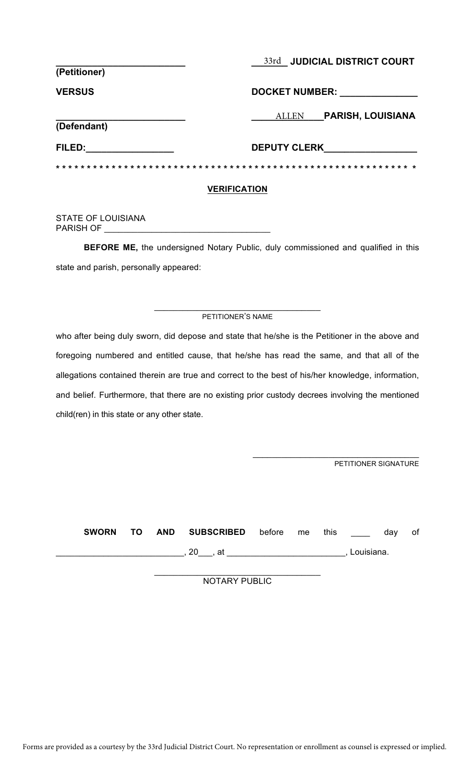| (Petitioner)        | 33rd JUDICIAL DISTRICT COURT             |  |  |  |
|---------------------|------------------------------------------|--|--|--|
| <b>VERSUS</b>       | <b>DOCKET NUMBER:</b>                    |  |  |  |
| (Defendant)         | <b>PARISH, LOUISIANA</b><br><b>ALLEN</b> |  |  |  |
| FILED:              | <b>DEPUTY CLERK</b>                      |  |  |  |
|                     |                                          |  |  |  |
| <b>VERIFICATION</b> |                                          |  |  |  |

STATE OF LOUISIANA PARISH OF \_

**BEFORE ME,** the undersigned Notary Public, duly commissioned and qualified in this state and parish, personally appeared:

#### $\_$ PETITIONER'S NAME

who after being duly sworn, did depose and state that he/she is the Petitioner in the above and foregoing numbered and entitled cause, that he/she has read the same, and that all of the allegations contained therein are true and correct to the best of his/her knowledge, information, and belief. Furthermore, that there are no existing prior custody decrees involving the mentioned child(ren) in this state or any other state.

PETITIONER SIGNATURE

 $\mathcal{L}_\mathcal{L}$  , which is a set of the set of the set of the set of the set of the set of the set of the set of the set of the set of the set of the set of the set of the set of the set of the set of the set of the set of

**SWORN TO AND SUBSCRIBED** before me this \_\_\_\_ day of \_\_\_\_\_\_\_\_\_\_\_\_\_\_\_\_\_\_\_\_\_\_\_\_\_\_\_, 20\_\_\_, at \_\_\_\_\_\_\_\_\_\_\_\_\_\_\_\_\_\_\_\_\_\_\_\_\_, Louisiana.

> \_\_\_\_\_\_\_\_\_\_\_\_\_\_\_\_\_\_\_\_\_\_\_\_\_\_\_\_\_\_\_\_\_\_\_ NOTARY PUBLIC